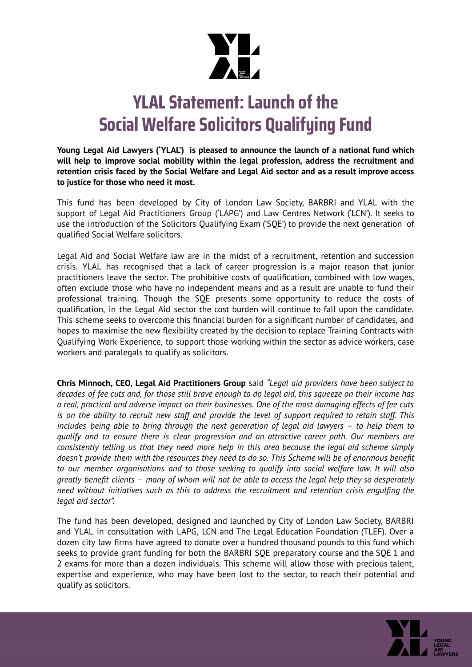

## **YLAL Statement:Launch of the Social Welfare Solicitors Qualifying Fund**

**Young Legal Aid Lawyers ('YLAL') is pleased to announce the launch of a national fund which will help to improve social mobility within the legal profession, address the recruitment and retention crisis faced by the Social Welfare and Legal Aid sector and as a result improve access to justice for those who need it most.**

This fund has been developed by City of London Law Society, BARBRI and YLAL with the support of Legal Aid Practitioners Group ('LAPG') and Law Centres Network ('LCN'). It seeks to use the introduction of the Solicitors Qualifying Exam ('SQE') to provide the next generation of qualified Social Welfare solicitors.

Legal Aid and Social Welfare law are in the midst of a recruitment, retention and succession crisis. YLAL has recognised that a lack of career progression is a major reason that junior practitioners leave the sector. The prohibitive costs of qualification, combined with low wages, often exclude those who have no independent means and as a result are unable to fund their professional training. Though the SQE presents some opportunity to reduce the costs of qualification, in the Legal Aid sector the cost burden will continue to fall upon the candidate. This scheme seeks to overcome this financial burden for a significant number of candidates, and hopes to maximise the new flexibility created by the decision to replace Training Contracts with Qualifying Work Experience, to support those working within the sector as advice workers, case workers and paralegals to qualify as solicitors.

**Chris Minnoch, CEO, Legal Aid Practitioners Group** said *"Legal aid providers have been subject to* decades of fee cuts and, for those still brave enough to do legal aid, this squeeze on their income has a real, practical and adverse impact on their businesses. One of the most damaging effects of fee cuts is on the ability to recruit new staff and provide the level of support required to retain staff. This *includes being able to bring through the next generation of legal aid lawyers – to help them to qualify and to ensure there is clear progression and an attractive career path. Our members are consistently telling us that they need more help in this area because the legal aid scheme simply* doesn't provide them with the resources they need to do so. This Scheme will be of enormous benefit *to our member organisations and to those seeking to qualify into social welfare law. It will also* greatly benefit clients - many of whom will not be able to access the legal help they so desperately *need without initiatives such as this to address the recruitment and retention crisis engulfing the legal aid sector".*

The fund has been developed, designed and launched by City of London Law Society, BARBRI and YLAL in consultation with LAPG, LCN and The Legal Education Foundation (TLEF). Over a dozen city law firms have agreed to donate over a hundred thousand pounds to this fund which seeks to provide grant funding for both the BARBRI SQE preparatory course and the SQE 1 and 2 exams for more than a dozen individuals. This scheme will allow those with precious talent, expertise and experience, who may have been lost to the sector, to reach their potential and qualify as solicitors.